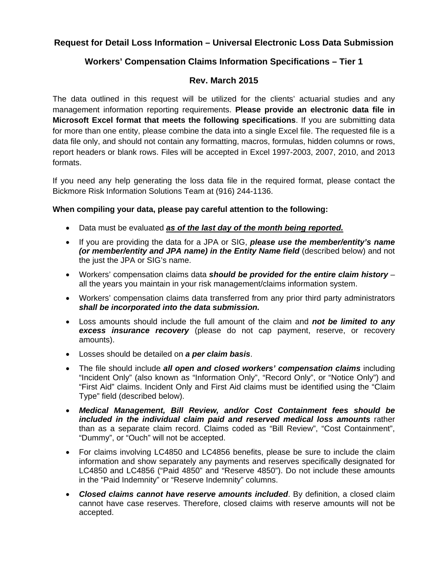## **Request for Detail Loss Information – Universal Electronic Loss Data Submission**

# **Workers' Compensation Claims Information Specifications – Tier 1**

### **Rev. March 2015**

The data outlined in this request will be utilized for the clients' actuarial studies and any management information reporting requirements. **Please provide an electronic data file in Microsoft Excel format that meets the following specifications**. If you are submitting data for more than one entity, please combine the data into a single Excel file. The requested file is a data file only, and should not contain any formatting, macros, formulas, hidden columns or rows, report headers or blank rows. Files will be accepted in Excel 1997-2003, 2007, 2010, and 2013 formats.

If you need any help generating the loss data file in the required format, please contact the Bickmore Risk Information Solutions Team at (916) 244-1136.

#### **When compiling your data, please pay careful attention to the following:**

- Data must be evaluated *as of the last day of the month being reported.*
- If you are providing the data for a JPA or SIG, *please use the member/entity's name (or member/entity and JPA name) in the Entity Name field* (described below) and not the just the JPA or SIG's name.
- Workers' compensation claims data *should be provided for the entire claim history* all the years you maintain in your risk management/claims information system.
- Workers' compensation claims data transferred from any prior third party administrators *shall be incorporated into the data submission.*
- Loss amounts should include the full amount of the claim and *not be limited to any excess insurance recovery* (please do not cap payment, reserve, or recovery amounts).
- Losses should be detailed on *a per claim basis*.
- The file should include *all open and closed workers' compensation claims* including "Incident Only" (also known as "Information Only", "Record Only", or "Notice Only") and "First Aid" claims. Incident Only and First Aid claims must be identified using the "Claim Type" field (described below).
- *Medical Management, Bill Review, and/or Cost Containment fees should be included in the individual claim paid and reserved medical loss amounts* rather than as a separate claim record. Claims coded as "Bill Review", "Cost Containment", "Dummy", or "Ouch" will not be accepted.
- For claims involving LC4850 and LC4856 benefits, please be sure to include the claim information and show separately any payments and reserves specifically designated for LC4850 and LC4856 ("Paid 4850" and "Reserve 4850"). Do not include these amounts in the "Paid Indemnity" or "Reserve Indemnity" columns.
- *Closed claims cannot have reserve amounts included*. By definition, a closed claim cannot have case reserves. Therefore, closed claims with reserve amounts will not be accepted.